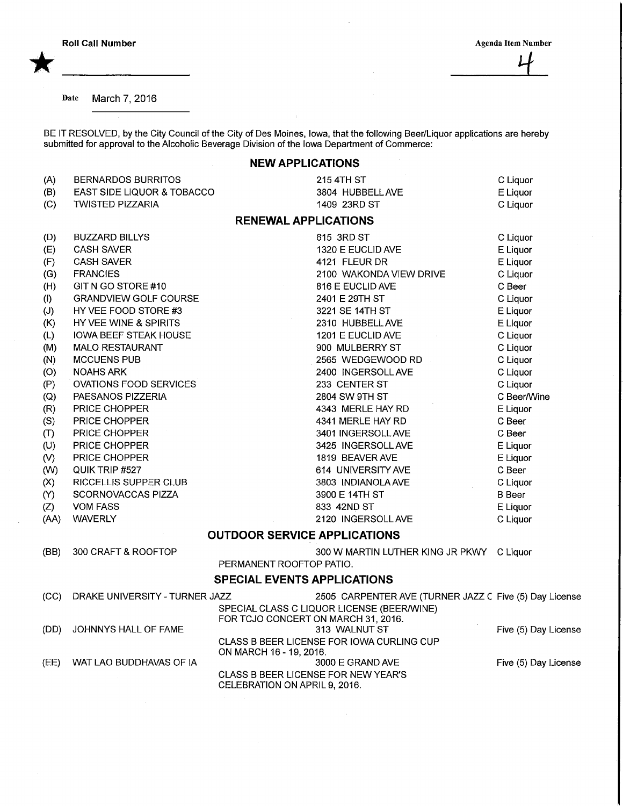\*

Date March 7, 2016

BE IT RESOLVED, by the City Council of the City of Des Moines, lowa, that the following Beer/Liquor applications are hereb submitted for approval to the Alcoholic Beverage Division of the Iowa Department of Commerce:

## NEW APPLICATIONS

| (A)  | <b>BERNARDOS BURRITOS</b>      | 215 4TH ST                                                           | C Liquor             |
|------|--------------------------------|----------------------------------------------------------------------|----------------------|
| (B)  | EAST SIDE LIQUOR & TOBACCO     | 3804 HUBBELL AVE                                                     | E Liquor             |
| (C)  | <b>TWISTED PIZZARIA</b>        | 1409 23RD ST                                                         | C Liquor             |
|      |                                | <b>RENEWAL APPLICATIONS</b>                                          |                      |
| (D)  | <b>BUZZARD BILLYS</b>          | 615 3RD ST                                                           | C Liquor             |
| (E)  | <b>CASH SAVER</b>              | 1320 E EUCLID AVE                                                    | E Liquor             |
| (F)  | <b>CASH SAVER</b>              | 4121 FLEUR DR                                                        | E Liquor             |
| (G)  | <b>FRANCIES</b>                | 2100 WAKONDA VIEW DRIVE                                              | C Liquor             |
| (H)  | GIT N GO STORE #10             | 816 E EUCLID AVE                                                     | C Beer               |
| (1)  | <b>GRANDVIEW GOLF COURSE</b>   | 2401 E 29TH ST                                                       | C Liquor             |
| (J)  | HY VEE FOOD STORE #3           | 3221 SE 14TH ST                                                      | E Liquor             |
| (K)  | HY VEE WINE & SPIRITS          | 2310 HUBBELL AVE                                                     | E Liquor             |
| (L)  | <b>IOWA BEEF STEAK HOUSE</b>   | 1201 E EUCLID AVE                                                    | C Liquor             |
| (M)  | <b>MALO RESTAURANT</b>         | 900 MULBERRY ST                                                      | C Liquor             |
| (N)  | <b>MCCUENS PUB</b>             | 2565 WEDGEWOOD RD                                                    | C Liquor             |
| (O)  | <b>NOAHS ARK</b>               | 2400 INGERSOLL AVE                                                   | C Liquor             |
| (P)  | <b>OVATIONS FOOD SERVICES</b>  | 233 CENTER ST                                                        | C Liquor             |
| (Q)  | PAESANOS PIZZERIA              | 2804 SW 9TH ST                                                       | C Beer/Wine          |
| (R)  | PRICE CHOPPER                  | 4343 MERLE HAY RD                                                    | E Liquor             |
| (S)  | PRICE CHOPPER                  | 4341 MERLE HAY RD                                                    | C Beer               |
| (T)  | PRICE CHOPPER                  | 3401 INGERSOLL AVE                                                   | C Beer               |
| (U)  | PRICE CHOPPER                  | 3425 INGERSOLL AVE                                                   | E Liquor             |
| (V)  | PRICE CHOPPER                  | 1819 BEAVER AVE                                                      | E Liquor             |
| (W)  | QUIK TRIP #527                 | 614 UNIVERSITY AVE                                                   | C Beer               |
| (X)  | RICCELLIS SUPPER CLUB          | 3803 INDIANOLA AVE                                                   | C Liquor             |
| (Y)  | SCORNOVACCAS PIZZA             | 3900 E 14TH ST                                                       | <b>B</b> Beer        |
| (Z)  | <b>VOM FASS</b>                | 833 42ND ST                                                          | E Liquor             |
| (AA) | <b>WAVERLY</b>                 | 2120 INGERSOLL AVE                                                   | C Liquor             |
|      |                                | <b>OUTDOOR SERVICE APPLICATIONS</b>                                  |                      |
| (BB) | 300 CRAFT & ROOFTOP            | 300 W MARTIN LUTHER KING JR PKWY C Liquor                            |                      |
|      |                                | PERMANENT ROOFTOP PATIO.                                             |                      |
|      |                                | <b>SPECIAL EVENTS APPLICATIONS</b>                                   |                      |
| (CC) | DRAKE UNIVERSITY - TURNER JAZZ | 2505 CARPENTER AVE (TURNER JAZZ C Five (5) Day License               |                      |
|      |                                | SPECIAL CLASS C LIQUOR LICENSE (BEER/WINE)                           |                      |
|      |                                | FOR TCJO CONCERT ON MARCH 31, 2016.                                  |                      |
| (DD) | JOHNNYS HALL OF FAME           | 313 WALNUT ST                                                        | Five (5) Day License |
|      |                                | CLASS B BEER LICENSE FOR IOWA CURLING CUP<br>ON MARCH 16 - 19, 2016. |                      |
| (EE) | WAT LAO BUDDHAVAS OF IA        | 3000 E GRAND AVE                                                     | Five (5) Day License |

CLASS B BEER LICENSE FOR NEW YEAR'S

 $\sim$ 

CELEBRATION ON APRIL 9, 2016.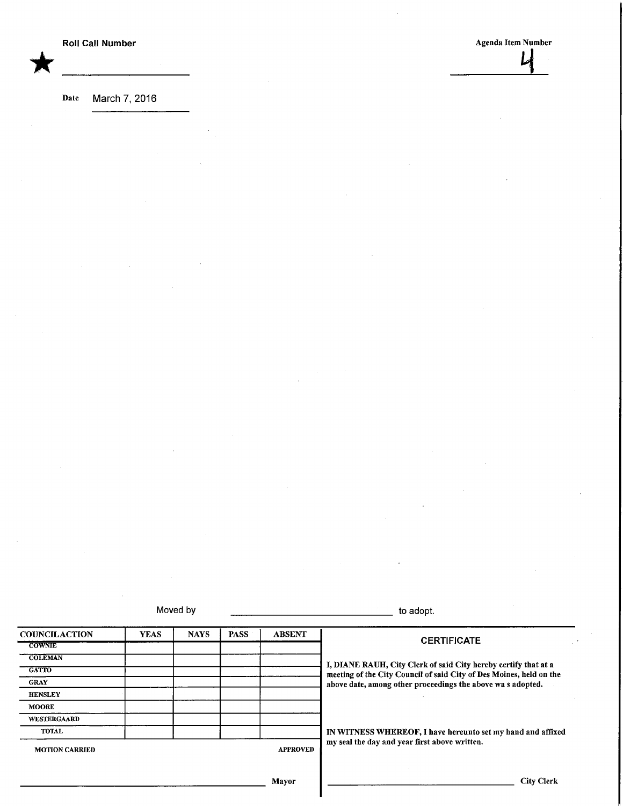\*

**Roll Call Number Agents** Agents Agents Agents Agents Agents Agents Agents Agents Agents Agents Agents Agents Agents Agents Agents Agents Agents Agents Agents Agents Agents Agents Agents Agents Agents Agents Agents Agents L

Date March 7, 2016

Moved by to adopt.

| <b>COUNCILACTION</b>  | <b>YEAS</b> | <b>NAYS</b>     | <b>PASS</b> | <b>ABSENT</b> |                                                                                                                                        |
|-----------------------|-------------|-----------------|-------------|---------------|----------------------------------------------------------------------------------------------------------------------------------------|
| <b>COWNIE</b>         |             |                 |             |               | <b>CERTIFICATE</b>                                                                                                                     |
| <b>COLEMAN</b>        |             |                 |             |               |                                                                                                                                        |
| <b>GATTO</b>          |             |                 |             |               | I, DIANE RAUH, City Clerk of said City hereby certify that at a<br>meeting of the City Council of said City of Des Moines, held on the |
| <b>GRAY</b>           |             |                 |             |               | above date, among other proceedings the above was adopted.                                                                             |
| <b>HENSLEY</b>        |             |                 |             |               |                                                                                                                                        |
| <b>MOORE</b>          |             |                 |             |               |                                                                                                                                        |
| WESTERGAARD           |             |                 |             |               |                                                                                                                                        |
| <b>TOTAL</b>          |             |                 |             |               | IN WITNESS WHEREOF, I have hereunto set my hand and affixed                                                                            |
| <b>MOTION CARRIED</b> |             | <b>APPROVED</b> |             |               | my seal the day and year first above written.                                                                                          |
|                       |             |                 |             | Mayor         | <b>City Clerk</b>                                                                                                                      |